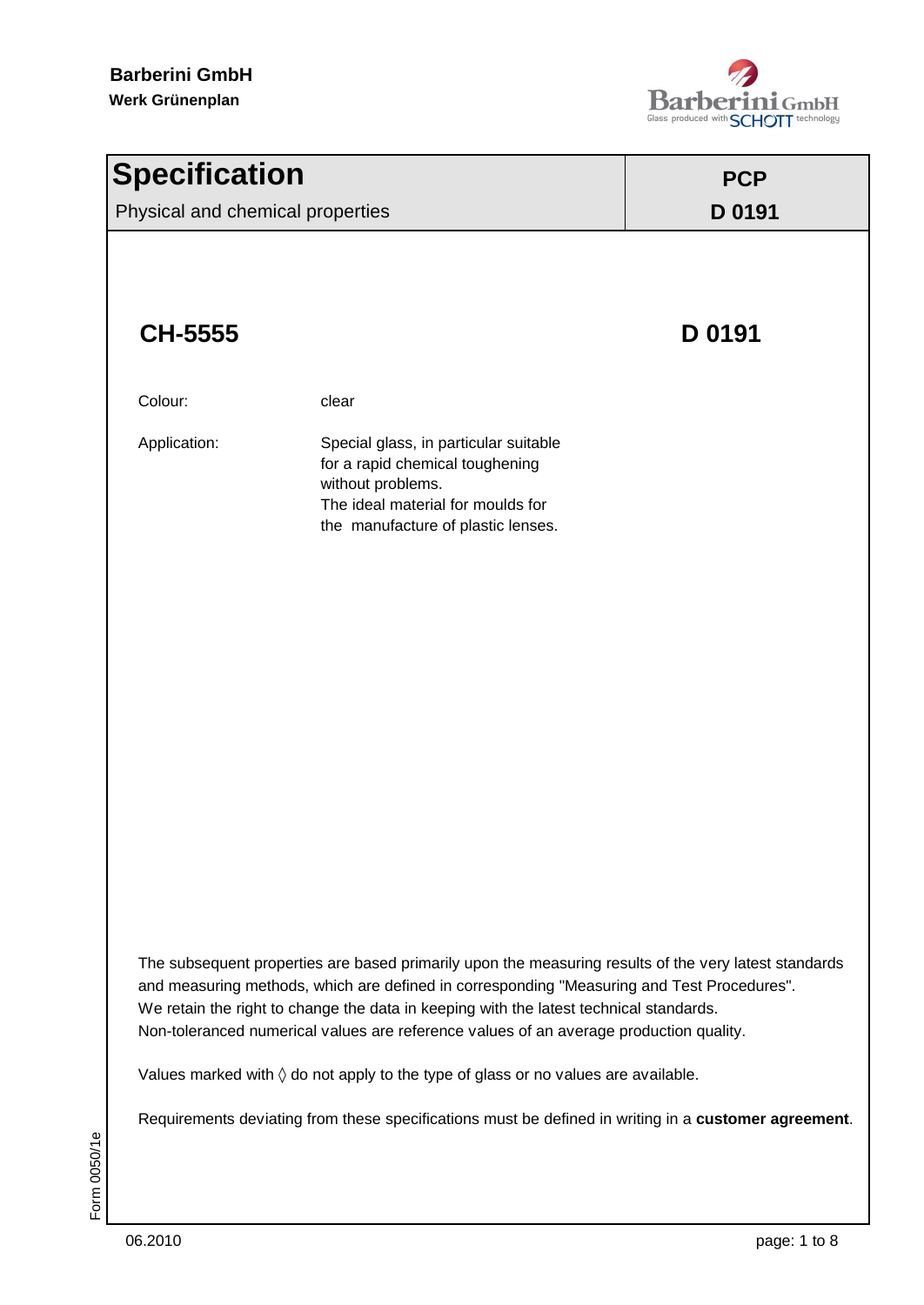

| <b>Specification</b>             | <b>PCP</b><br>D 0191                                                                                                                                                                                                                                                                                                                                                                    |        |  |
|----------------------------------|-----------------------------------------------------------------------------------------------------------------------------------------------------------------------------------------------------------------------------------------------------------------------------------------------------------------------------------------------------------------------------------------|--------|--|
| Physical and chemical properties |                                                                                                                                                                                                                                                                                                                                                                                         |        |  |
| <b>CH-5555</b>                   |                                                                                                                                                                                                                                                                                                                                                                                         | D 0191 |  |
| Colour:                          | clear                                                                                                                                                                                                                                                                                                                                                                                   |        |  |
| Application:                     | Special glass, in particular suitable<br>for a rapid chemical toughening<br>without problems.<br>The ideal material for moulds for<br>the manufacture of plastic lenses.                                                                                                                                                                                                                |        |  |
|                                  |                                                                                                                                                                                                                                                                                                                                                                                         |        |  |
|                                  |                                                                                                                                                                                                                                                                                                                                                                                         |        |  |
|                                  |                                                                                                                                                                                                                                                                                                                                                                                         |        |  |
|                                  |                                                                                                                                                                                                                                                                                                                                                                                         |        |  |
|                                  |                                                                                                                                                                                                                                                                                                                                                                                         |        |  |
|                                  |                                                                                                                                                                                                                                                                                                                                                                                         |        |  |
|                                  | The subsequent properties are based primarily upon the measuring results of the very latest standards<br>and measuring methods, which are defined in corresponding "Measuring and Test Procedures".<br>We retain the right to change the data in keeping with the latest technical standards.<br>Non-toleranced numerical values are reference values of an average production quality. |        |  |
|                                  | Values marked with $\Diamond$ do not apply to the type of glass or no values are available.                                                                                                                                                                                                                                                                                             |        |  |
|                                  | Requirements deviating from these specifications must be defined in writing in a customer agreement.                                                                                                                                                                                                                                                                                    |        |  |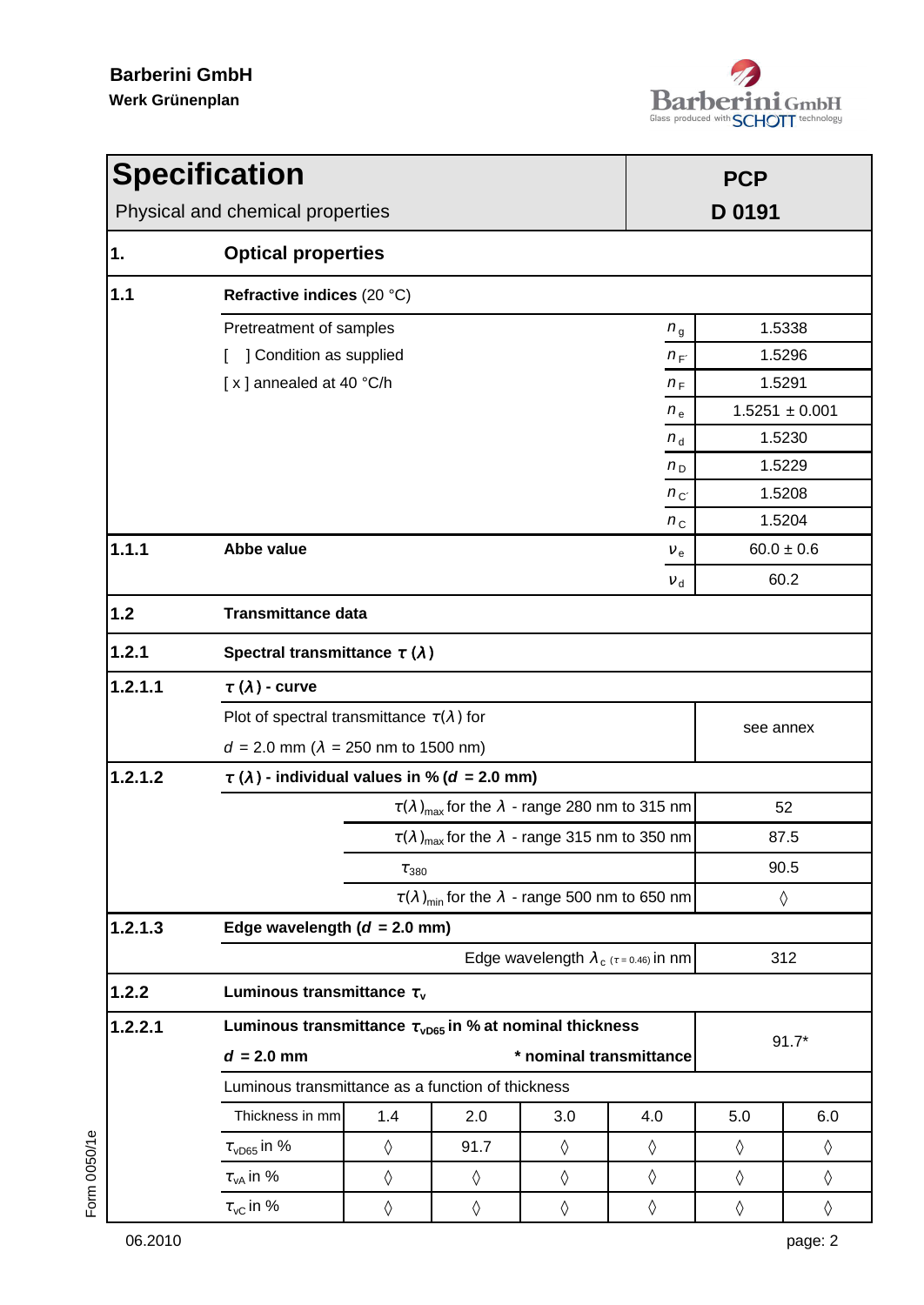

| <b>Specification</b>             |                                                                         |                                                                         |                                                                         |                                                    |             | <b>PCP</b>     |                    |  |  |
|----------------------------------|-------------------------------------------------------------------------|-------------------------------------------------------------------------|-------------------------------------------------------------------------|----------------------------------------------------|-------------|----------------|--------------------|--|--|
| Physical and chemical properties |                                                                         |                                                                         |                                                                         |                                                    |             | D 0191         |                    |  |  |
| $\mathbf 1$ .                    | <b>Optical properties</b>                                               |                                                                         |                                                                         |                                                    |             |                |                    |  |  |
| $1.1$                            |                                                                         | Refractive indices (20 °C)                                              |                                                                         |                                                    |             |                |                    |  |  |
|                                  | Pretreatment of samples                                                 |                                                                         |                                                                         |                                                    | $n_{\rm g}$ |                | 1.5338             |  |  |
|                                  |                                                                         | ] Condition as supplied                                                 |                                                                         |                                                    |             |                | 1.5296             |  |  |
|                                  | [x] annealed at 40 °C/h                                                 |                                                                         |                                                                         |                                                    | $n_F$       |                | 1.5291             |  |  |
|                                  |                                                                         |                                                                         |                                                                         |                                                    | $n_{\rm e}$ |                | $1.5251 \pm 0.001$ |  |  |
|                                  |                                                                         |                                                                         |                                                                         |                                                    | $n_{\rm d}$ |                | 1.5230             |  |  |
|                                  |                                                                         |                                                                         |                                                                         |                                                    | $n_{\rm D}$ |                | 1.5229             |  |  |
|                                  |                                                                         |                                                                         |                                                                         |                                                    | $n_{\rm C}$ |                | 1.5208             |  |  |
|                                  |                                                                         |                                                                         |                                                                         |                                                    | $n_{\rm C}$ |                | 1.5204             |  |  |
| 1.1.1                            | Abbe value                                                              |                                                                         |                                                                         |                                                    | $V_{e}$     | $60.0 \pm 0.6$ |                    |  |  |
|                                  |                                                                         |                                                                         |                                                                         |                                                    | $V_{d}$     |                | 60.2               |  |  |
| $1.2$                            |                                                                         | <b>Transmittance data</b>                                               |                                                                         |                                                    |             |                |                    |  |  |
| 1.2.1                            | Spectral transmittance $\tau(\lambda)$                                  |                                                                         |                                                                         |                                                    |             |                |                    |  |  |
| 1.2.1.1                          | $\tau(\lambda)$ - curve                                                 |                                                                         |                                                                         |                                                    |             |                |                    |  |  |
|                                  | Plot of spectral transmittance $\tau(\lambda)$ for                      |                                                                         |                                                                         |                                                    |             | see annex      |                    |  |  |
|                                  | $d = 2.0$ mm ( $\lambda = 250$ nm to 1500 nm)                           |                                                                         |                                                                         |                                                    |             |                |                    |  |  |
| 1.2.1.2                          | $\tau$ ( $\lambda$ ) - individual values in % (d = 2.0 mm)              |                                                                         |                                                                         |                                                    |             |                |                    |  |  |
|                                  | $\tau(\lambda)_{\text{max}}$ for the $\lambda$ - range 280 nm to 315 nm |                                                                         |                                                                         |                                                    |             |                | 52                 |  |  |
|                                  |                                                                         |                                                                         | $\tau(\lambda)_{\text{max}}$ for the $\lambda$ - range 315 nm to 350 nm | 87.5                                               |             |                |                    |  |  |
|                                  |                                                                         | $\tau_{380}$                                                            |                                                                         | 90.5                                               |             |                |                    |  |  |
|                                  |                                                                         | $\tau(\lambda)_{\text{min}}$ for the $\lambda$ - range 500 nm to 650 nm |                                                                         |                                                    |             |                | $\Diamond$         |  |  |
| 1.2.1.3                          | Edge wavelength ( $d = 2.0$ mm)                                         |                                                                         |                                                                         |                                                    |             |                |                    |  |  |
|                                  |                                                                         |                                                                         |                                                                         | Edge wavelength $\lambda_c$ ( $\tau$ = 0.46) in nm |             |                | 312                |  |  |
| 1.2.2                            | Luminous transmittance $\tau_{v}$                                       |                                                                         |                                                                         |                                                    |             |                |                    |  |  |
| 1.2.2.1                          | Luminous transmittance $\tau_{\text{vD65}}$ in % at nominal thickness   |                                                                         |                                                                         |                                                    |             |                | $91.7*$            |  |  |
|                                  | * nominal transmittance<br>$d = 2.0$ mm                                 |                                                                         |                                                                         |                                                    |             |                |                    |  |  |
|                                  | Luminous transmittance as a function of thickness                       |                                                                         |                                                                         |                                                    |             |                |                    |  |  |
|                                  | Thickness in mm                                                         | 1.4                                                                     | 2.0                                                                     | 3.0                                                | 4.0         | 5.0            | 6.0                |  |  |
|                                  | $\tau$ <sub>vD65</sub> in %                                             | ♦                                                                       | 91.7                                                                    | ♦                                                  | $\Diamond$  | ♦              | ♦                  |  |  |
|                                  | $\tau_{vA}$ in %                                                        | $\Diamond$                                                              | $\Diamond$                                                              | ♦                                                  | $\Diamond$  | $\Diamond$     | $\Diamond$         |  |  |
|                                  | $\tau_{\rm vC}$ in %                                                    | $\Diamond$                                                              | $\Diamond$                                                              | $\Diamond$                                         | ♦           | ♦              | ♦                  |  |  |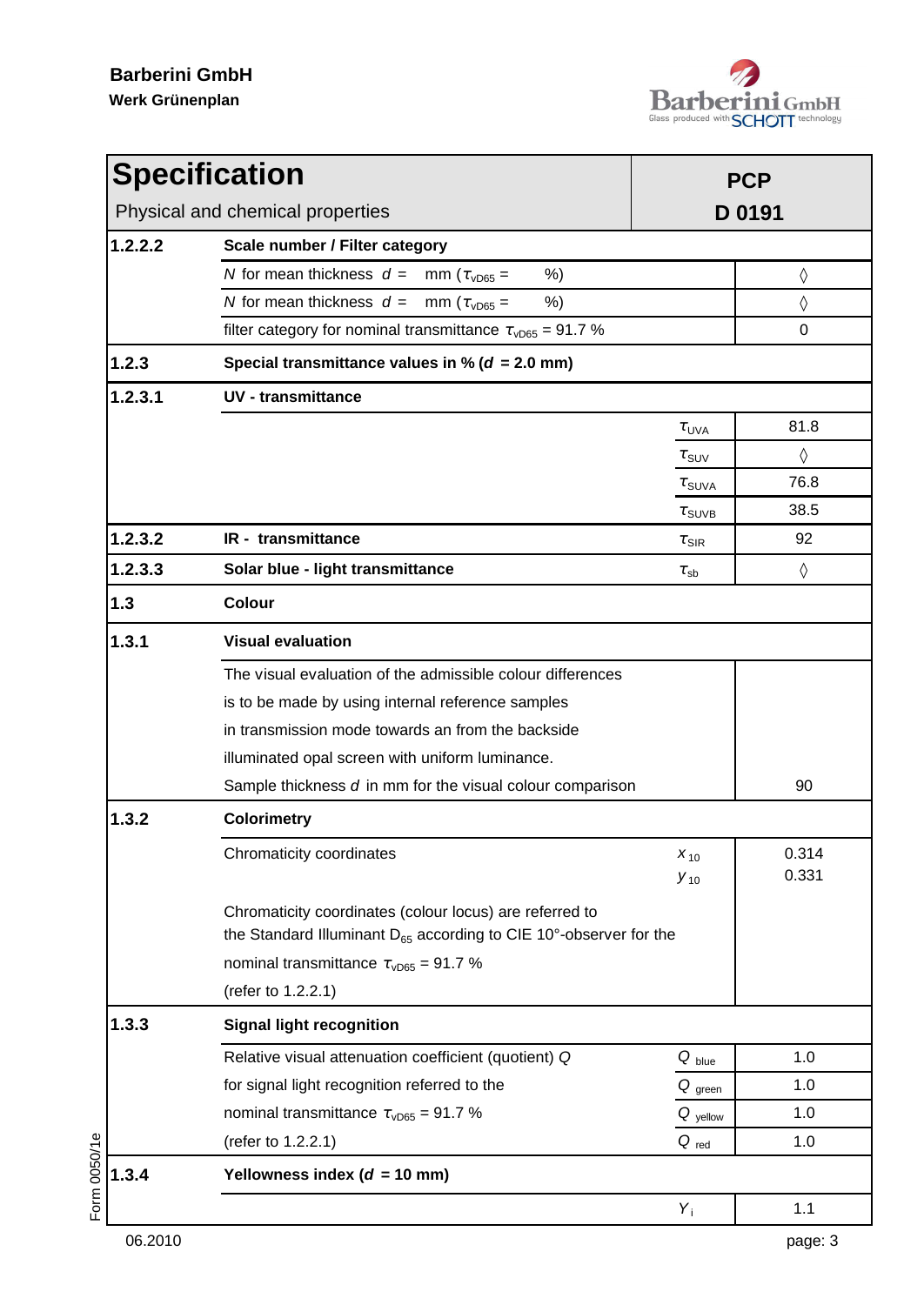

| <b>Specification</b>             |                                                                                                                                   | <b>PCP</b>             |            |  |  |  |
|----------------------------------|-----------------------------------------------------------------------------------------------------------------------------------|------------------------|------------|--|--|--|
| Physical and chemical properties |                                                                                                                                   | D 0191                 |            |  |  |  |
| 1.2.2.2                          | Scale number / Filter category                                                                                                    |                        |            |  |  |  |
|                                  | N for mean thickness $d =$<br>$%$ )<br>mm ( $\tau_{\text{vD65}}$ =                                                                |                        | $\Diamond$ |  |  |  |
|                                  | N for mean thickness $d =$<br>%)<br>mm ( $\tau_{\text{vD65}}$ =                                                                   |                        | ♦          |  |  |  |
|                                  | filter category for nominal transmittance $\tau_{\text{vD65}} = 91.7$ %                                                           |                        | 0          |  |  |  |
| 1.2.3                            | Special transmittance values in % ( $d = 2.0$ mm)                                                                                 |                        |            |  |  |  |
| 1.2.3.1                          | <b>UV</b> - transmittance                                                                                                         |                        |            |  |  |  |
|                                  |                                                                                                                                   | $\tau_{UVA}$           | 81.8       |  |  |  |
|                                  |                                                                                                                                   | $\tau_{\text{SUV}}$    | ♦          |  |  |  |
|                                  |                                                                                                                                   | $\tau$ <sub>SUVA</sub> | 76.8       |  |  |  |
|                                  |                                                                                                                                   | $\tau$ <sub>SUVB</sub> | 38.5       |  |  |  |
| 1.2.3.2                          | <b>IR</b> - transmittance                                                                                                         | $\tau$ <sub>SIR</sub>  | 92         |  |  |  |
| 1.2.3.3                          | Solar blue - light transmittance                                                                                                  | $\tau_{sb}$            | ♦          |  |  |  |
| 1.3                              | <b>Colour</b>                                                                                                                     |                        |            |  |  |  |
| 1.3.1                            | <b>Visual evaluation</b>                                                                                                          |                        |            |  |  |  |
|                                  | The visual evaluation of the admissible colour differences                                                                        |                        |            |  |  |  |
|                                  | is to be made by using internal reference samples                                                                                 |                        |            |  |  |  |
|                                  | in transmission mode towards an from the backside                                                                                 |                        |            |  |  |  |
|                                  | illuminated opal screen with uniform luminance.                                                                                   |                        |            |  |  |  |
|                                  | Sample thickness d in mm for the visual colour comparison<br>90                                                                   |                        |            |  |  |  |
| 1.3.2                            | <b>Colorimetry</b>                                                                                                                |                        |            |  |  |  |
|                                  | Chromaticity coordinates                                                                                                          | $x_{10}$               | 0.314      |  |  |  |
|                                  |                                                                                                                                   | 0.331                  |            |  |  |  |
|                                  | Chromaticity coordinates (colour locus) are referred to<br>the Standard Illuminant $D_{65}$ according to CIE 10°-observer for the |                        |            |  |  |  |
|                                  | nominal transmittance $\tau_{\text{vD65}} = 91.7 \%$                                                                              |                        |            |  |  |  |
|                                  | (refer to 1.2.2.1)                                                                                                                |                        |            |  |  |  |
| 1.3.3                            | <b>Signal light recognition</b>                                                                                                   |                        |            |  |  |  |
|                                  | Relative visual attenuation coefficient (quotient) Q                                                                              | $Q_{blue}$             | 1.0        |  |  |  |
|                                  | for signal light recognition referred to the                                                                                      | $Q_{green}$            | 1.0        |  |  |  |
|                                  | nominal transmittance $\tau_{\text{vD65}} = 91.7$ %                                                                               | $Q$ <sub>yellow</sub>  | 1.0        |  |  |  |
|                                  | (refer to 1.2.2.1)                                                                                                                | $Q_{\text{red}}$       | 1.0        |  |  |  |
| 1.3.4                            | Yellowness index ( $d = 10$ mm)                                                                                                   |                        |            |  |  |  |
|                                  |                                                                                                                                   | $Y_i$                  | 1.1        |  |  |  |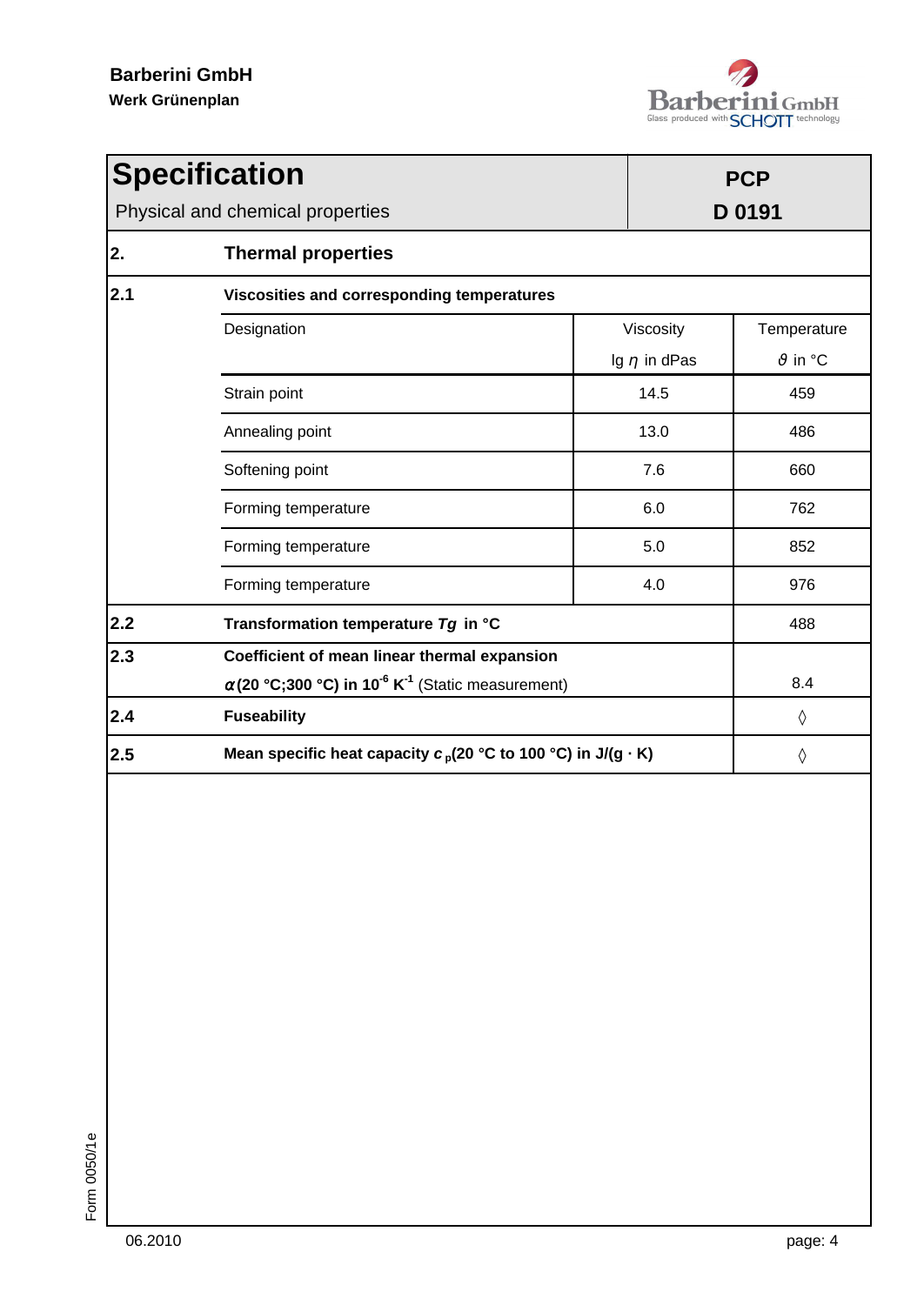

| <b>Specification</b><br>Physical and chemical properties |                                                                                                                                  |     | <b>PCP</b>                     |                                              |  |  |  |
|----------------------------------------------------------|----------------------------------------------------------------------------------------------------------------------------------|-----|--------------------------------|----------------------------------------------|--|--|--|
|                                                          |                                                                                                                                  |     | D 0191                         |                                              |  |  |  |
| 2.                                                       | <b>Thermal properties</b>                                                                                                        |     |                                |                                              |  |  |  |
| 2.1                                                      | Viscosities and corresponding temperatures                                                                                       |     |                                |                                              |  |  |  |
|                                                          | Designation                                                                                                                      |     | Viscosity<br>Ig $\eta$ in dPas | Temperature<br>$\vartheta$ in ${}^{\circ}$ C |  |  |  |
|                                                          | Strain point                                                                                                                     |     | 14.5                           | 459                                          |  |  |  |
|                                                          | Annealing point<br>13.0                                                                                                          |     | 486                            |                                              |  |  |  |
|                                                          | Softening point                                                                                                                  |     | 7.6                            | 660                                          |  |  |  |
|                                                          | Forming temperature                                                                                                              |     | 6.0                            | 762                                          |  |  |  |
|                                                          | Forming temperature                                                                                                              |     | 5.0                            | 852                                          |  |  |  |
|                                                          | Forming temperature                                                                                                              | 4.0 |                                | 976                                          |  |  |  |
| 2.2                                                      | Transformation temperature Tg in °C                                                                                              |     |                                | 488                                          |  |  |  |
| 2.3                                                      | Coefficient of mean linear thermal expansion<br>$\alpha$ (20 °C;300 °C) in 10 <sup>-6</sup> K <sup>-1</sup> (Static measurement) |     |                                | 8.4                                          |  |  |  |
| 2.4                                                      | <b>Fuseability</b>                                                                                                               |     |                                | ♦                                            |  |  |  |
| 2.5                                                      | Mean specific heat capacity $c_p(20 °C)$ to 100 °C) in J/(g $\cdot$ K)                                                           |     |                                | ♦                                            |  |  |  |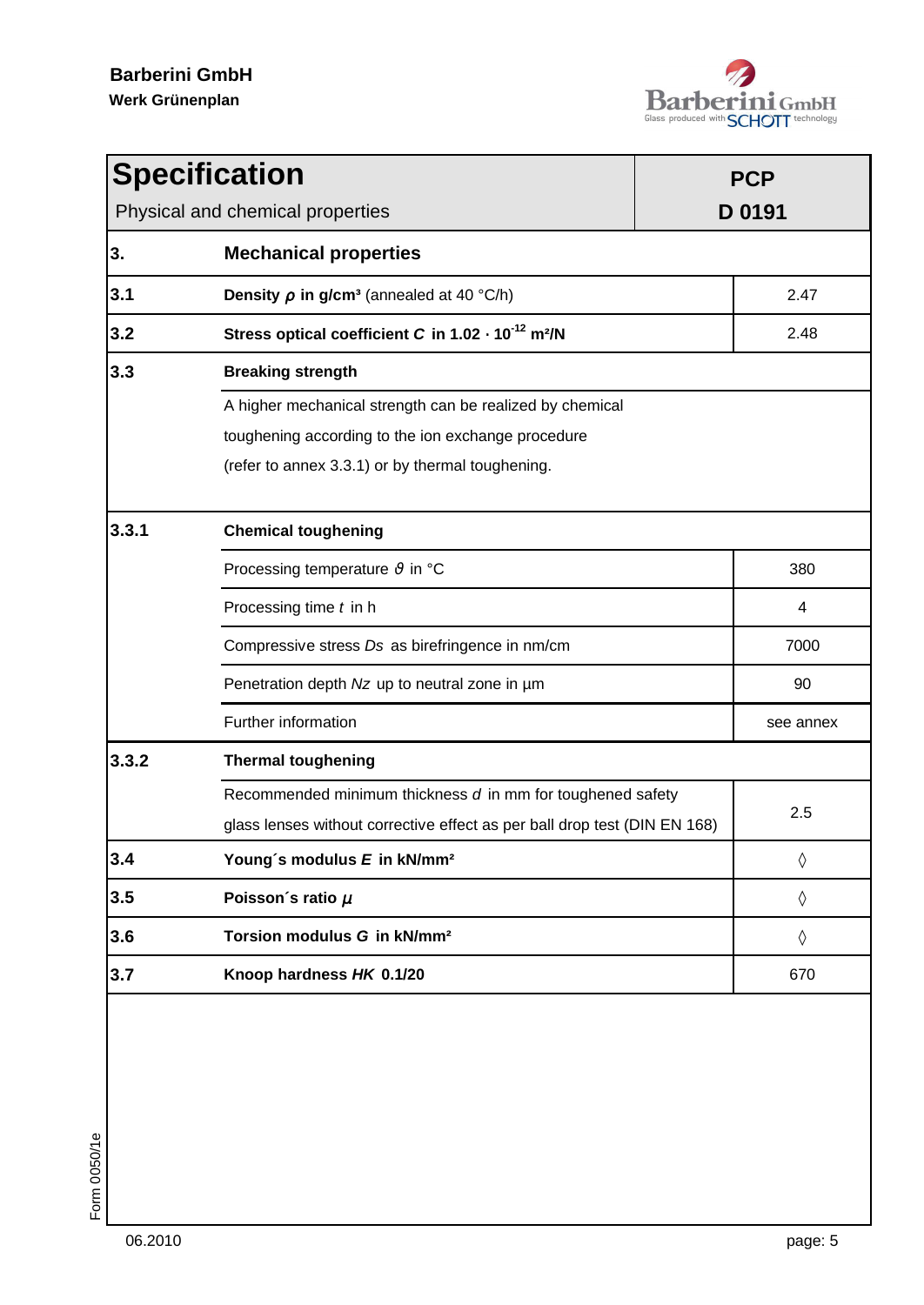

| <b>Specification</b>             | <b>PCP</b>                                                                                                                                                         |            |  |  |  |
|----------------------------------|--------------------------------------------------------------------------------------------------------------------------------------------------------------------|------------|--|--|--|
| Physical and chemical properties |                                                                                                                                                                    | D 0191     |  |  |  |
| 3.                               | <b>Mechanical properties</b>                                                                                                                                       |            |  |  |  |
| 3.1                              | <b>Density <math>\rho</math> in g/cm<sup>3</sup></b> (annealed at 40 °C/h)                                                                                         | 2.47       |  |  |  |
| 3.2                              | Stress optical coefficient C in $1.02 \cdot 10^{-12}$ m <sup>2</sup> /N                                                                                            | 2.48       |  |  |  |
| 3.3                              | <b>Breaking strength</b>                                                                                                                                           |            |  |  |  |
|                                  | A higher mechanical strength can be realized by chemical<br>toughening according to the ion exchange procedure<br>(refer to annex 3.3.1) or by thermal toughening. |            |  |  |  |
| 3.3.1                            | <b>Chemical toughening</b>                                                                                                                                         |            |  |  |  |
|                                  | Processing temperature $\vartheta$ in ${}^{\circ}$ C                                                                                                               | 380        |  |  |  |
|                                  | Processing time t in h                                                                                                                                             | 4          |  |  |  |
|                                  | Compressive stress Ds as birefringence in nm/cm                                                                                                                    | 7000       |  |  |  |
|                                  | Penetration depth Nz up to neutral zone in µm                                                                                                                      | 90         |  |  |  |
|                                  | Further information                                                                                                                                                | see annex  |  |  |  |
| 3.3.2                            | <b>Thermal toughening</b>                                                                                                                                          |            |  |  |  |
|                                  | Recommended minimum thickness d in mm for toughened safety<br>glass lenses without corrective effect as per ball drop test (DIN EN 168)                            | 2.5        |  |  |  |
| 3.4                              | Young's modulus E in kN/mm <sup>2</sup>                                                                                                                            | ♦          |  |  |  |
| 3.5                              | Poisson's ratio $\mu$                                                                                                                                              | $\Diamond$ |  |  |  |
| 3.6                              | Torsion modulus G in kN/mm <sup>2</sup>                                                                                                                            | $\Diamond$ |  |  |  |
| 3.7                              | Knoop hardness HK 0.1/20                                                                                                                                           | 670        |  |  |  |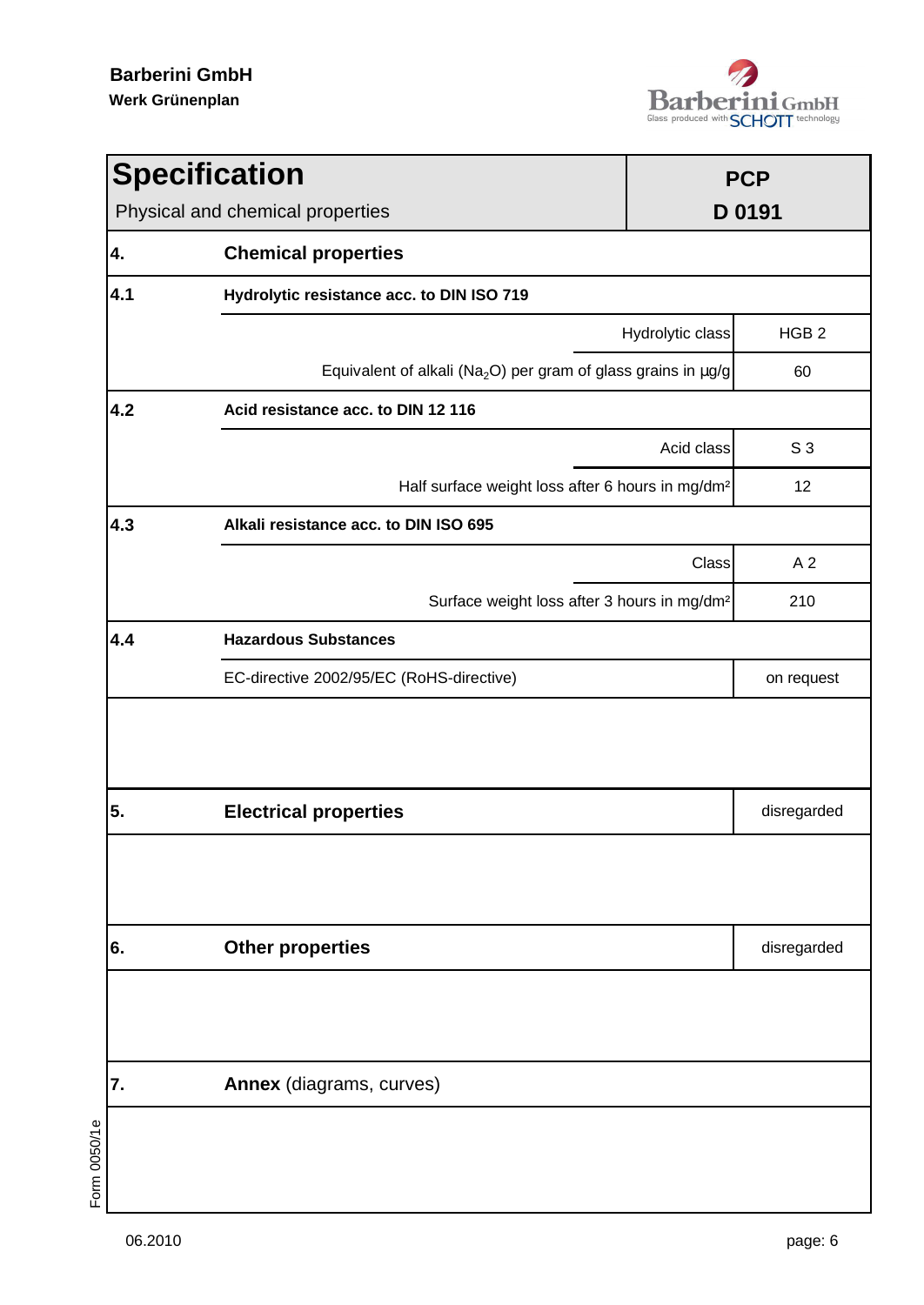

| <b>Specification</b>             |                                                                                | <b>PCP</b>       |                  |  |  |
|----------------------------------|--------------------------------------------------------------------------------|------------------|------------------|--|--|
| Physical and chemical properties |                                                                                |                  | D 0191           |  |  |
| 4.                               | <b>Chemical properties</b>                                                     |                  |                  |  |  |
| 4.1                              | Hydrolytic resistance acc. to DIN ISO 719                                      |                  |                  |  |  |
|                                  |                                                                                | Hydrolytic class | HGB <sub>2</sub> |  |  |
|                                  | Equivalent of alkali (Na <sub>2</sub> O) per gram of glass grains in $\mu$ g/g |                  | 60               |  |  |
| 4.2                              | Acid resistance acc. to DIN 12 116                                             |                  |                  |  |  |
|                                  |                                                                                | Acid class       | S <sub>3</sub>   |  |  |
|                                  | Half surface weight loss after 6 hours in mg/dm <sup>2</sup>                   |                  | 12               |  |  |
| 4.3                              |                                                                                |                  |                  |  |  |
|                                  |                                                                                | Class            | A <sub>2</sub>   |  |  |
|                                  | Surface weight loss after 3 hours in mg/dm <sup>2</sup>                        |                  | 210              |  |  |
| 4.4                              | <b>Hazardous Substances</b>                                                    |                  |                  |  |  |
|                                  | EC-directive 2002/95/EC (RoHS-directive)                                       | on request       |                  |  |  |
|                                  |                                                                                |                  |                  |  |  |
| 5.                               | <b>Electrical properties</b>                                                   |                  | disregarded      |  |  |
|                                  |                                                                                |                  |                  |  |  |
| 6.                               | <b>Other properties</b>                                                        |                  | disregarded      |  |  |
|                                  |                                                                                |                  |                  |  |  |
| 7.                               | Annex (diagrams, curves)                                                       |                  |                  |  |  |
|                                  |                                                                                |                  |                  |  |  |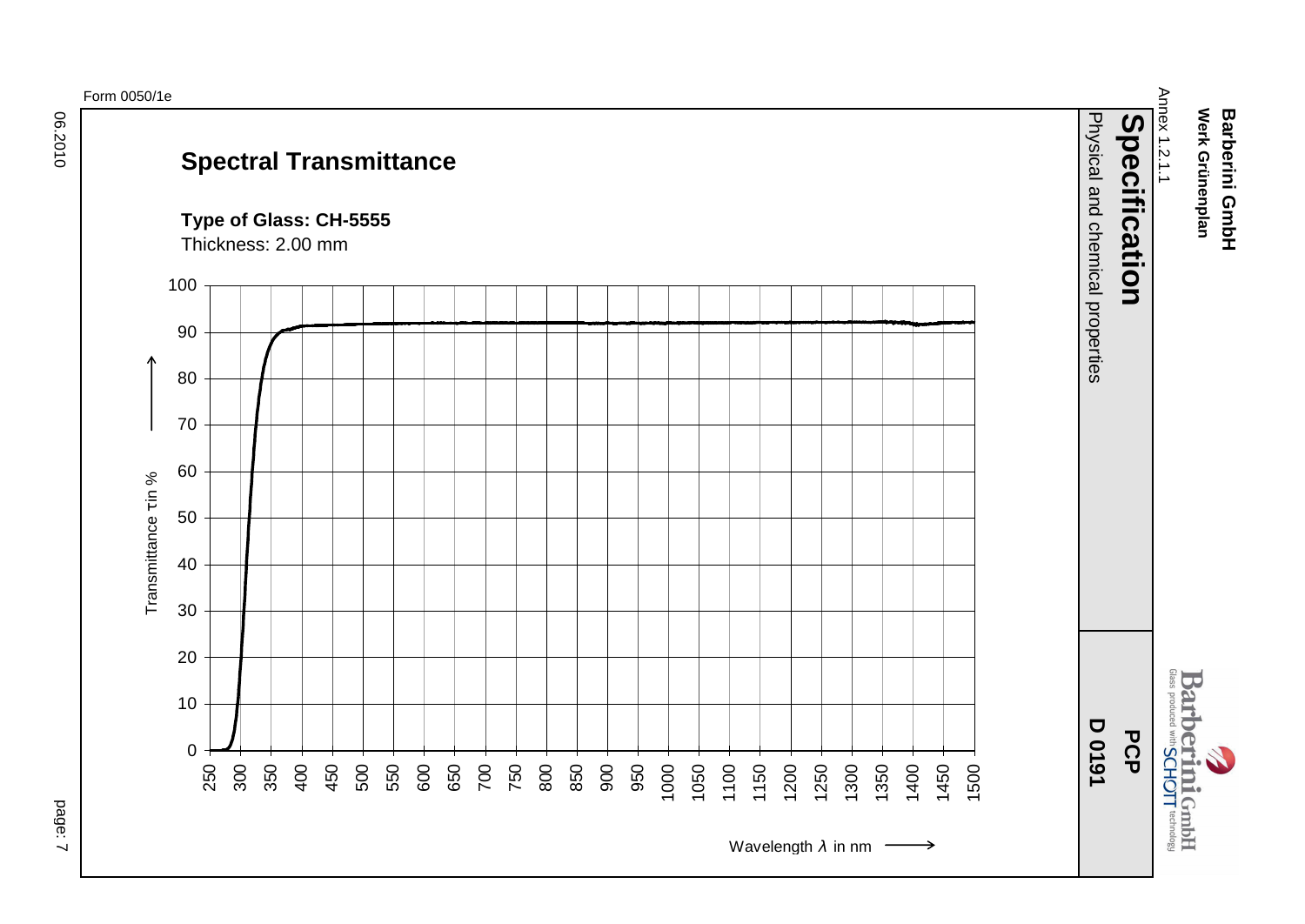## **Spectral Transmittance**

**Type of Glass: CH-5555**



Thickness: 2.00 mm

page: 7

Werk Grünenplan **Werk Grünenplan Barberini GmbH Barberini GmbH**

Annex 1.2.1.1

Annex 1.2.1.1

 $\lambda$